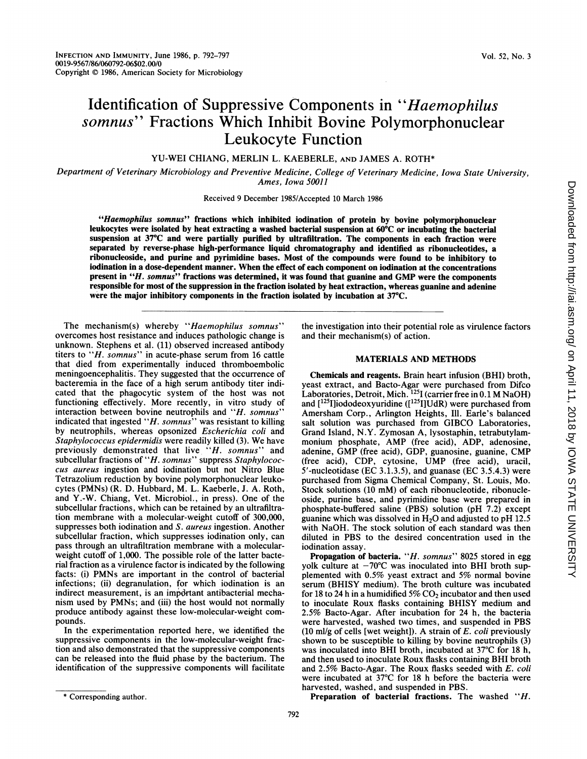# Identification of Suppressive Components in "Haemophilus somnus" Fractions Which Inhibit Bovine Polymorphonuclear Leukocyte Function

YU-WEI CHIANG, MERLIN L. KAEBERLE, AND JAMES A. ROTH\*

Department of Veterinary Microbiology and Preventive Medicine, College of Veterinary Medicine, Iowa State University, Ames, Iowa 50011

Received 9 December 1985/Accepted 10 March 1986

"Haemophilus somnus" fractions which inhibited iodination of protein by bovine polymorphonuclear leukocytes were isolated by heat extracting a washed bacterial suspension at 60°C or incubating the bacterial suspension at 37°C and were partially purified by ultrafiltration. The components in each fraction were separated by reverse-phase high-performance liquid chromatography and identified as ribonucleotides, a ribonucleoside, and purine and pyrimidine bases. Most of the compounds were found to be inhibitory to iodination in a dose-dependent manner. When the effect of each component on iodination at the concentrations present in "H. somnus" fractions was determined, it was found that guanine and GMP were the components responsible for most of the suppression in the fraction isolated by heat extraction, whereas guanine and adenine were the major inhibitory components in the fraction isolated by incubation at 37°C.

The mechanism(s) whereby "Haemophilus somnus" overcomes host resistance and induces pathologic change is unknown. Stephens et al. (11) observed increased antibody titers to "H. somnus" in acute-phase serum from 16 cattle that died from experimentally induced thromboembolic meningoencephalitis. They suggested that the occurrence of bacteremia in the face of a high serum antibody titer indicated that the phagocytic system of the host was not functioning effectively. More recently, in vitro study of interaction between bovine neutrophils and "H. somnus" indicated that ingested " $H.$  somnus" was resistant to killing by neutrophils, whereas opsonized Escherichia coli and Staphylococcus epidermidis were readily killed (3). We have previously demonstrated that live "H. somnus" and subcellular fractions of "H. somnus" suppress Staphylococcus aureus ingestion and iodination but not Nitro Blue Tetrazolium reduction by bovine polymorphonuclear leukocytes (PMNs) (R. D. Hubbard, M. L. Kaeberle, J. A. Roth, and Y.-W. Chiang, Vet. Microbiol., in press). One of the subcellular fractions, which can be retained by an ultrafiltration membrane with a molecular-weight cutoff of 300,000, suppresses both iodination and S. aureus ingestion. Another subcellular fraction, which suppresses iodination only, can pass through an ultrafiltration membrane with a molecularweight cutoff of 1,000. The possible role of the latter bacterial fraction as a virulence factor is indicated by the following facts: (i) PMNs are important in the control of bacterial infections; (ii) degranulation, for which iodination is an indirect measurement, is an impdrtant antibacterial mechanism used by PMNs; and (iii) the host would not normally produce antibody against these low-molecular-weight compounds.

In the experimentation reported here, we identified the suppressive components in the low-molecular-weight fraction and also demonstrated that the suppressive components can be released into the fluid phase by the bacterium. The identification of the suppressive components will facilitate

## MATERIALS AND METHODS

Chemicals and reagents. Brain heart infusion (BHI) broth, yeast extract, and Bacto-Agar were purchased from Difco Laboratories, Detroit, Mich.  $^{125}$ I (carrier free in 0.1 M NaOH) and [125I]iododeoxyuridine ([1251]UdR) were purchased from Amersham Corp., Arlington Heights, Ill. Earle's balanced salt solution was purchased from GIBCO Laboratories, Grand Island, N.Y. Zymosan A, lysostaphin, tetrabutylammonium phosphate, AMP (free acid), ADP, adenosine, adenine, GMP (free acid), GDP, guanosine, guanine, CMP (free acid), CDP, cytosine, UMP (free acid), uracil, 5'-nucleotidase (EC 3.1.3.5), and guanase (EC 3.5.4.3) were purchased from Sigma Chemical Company, St. Louis, Mo. Stock solutions (10 mM) of each ribonucleotide, ribonucleoside, purine base, and pyrimidine base were prepared in phosphate-buffered saline (PBS) solution (pH 7.2) except guanine which was dissolved in  $H_2O$  and adjusted to pH 12.5 with NaOH. The stock solution of each standard was then diluted in PBS to the desired concentration used in the iodination assay.

Propagation of bacteria. "H. somnus" 8025 stored in egg volk culture at  $-70^{\circ}$ C was inoculated into BHI broth supplemented with 0.5% yeast extract and 5% normal bovine serum (BHISY medium). The broth culture was incubated for 18 to 24 h in a humidified  $5\%$  CO<sub>2</sub> incubator and then used to inoculate Roux flasks containing BHISY medium and 2.5% Bacto-Agar. After incubation for 24 h, the bacteria were harvested, washed two times, and suspended in PBS (10 ml/g of cells [wet weight]). A strain of  $E$ . *coli* previously shown to be susceptible to killing by bovine neutrophils (3) was inoculated into BHI broth, incubated at  $37^{\circ}$ C for 18 h, and then used to inoculate Roux flasks containing BHI broth and 2.5% Bacto-Agar. The Roux flasks seeded with E. coli were incubated at 37°C for 18 h before the bacteria were harvested, washed, and suspended in PBS.

Preparation of bacterial fractions. The washed "H.

the investigation into their potential role as virulence factors and their mechanism(s) of action.

<sup>\*</sup> Corresponding author.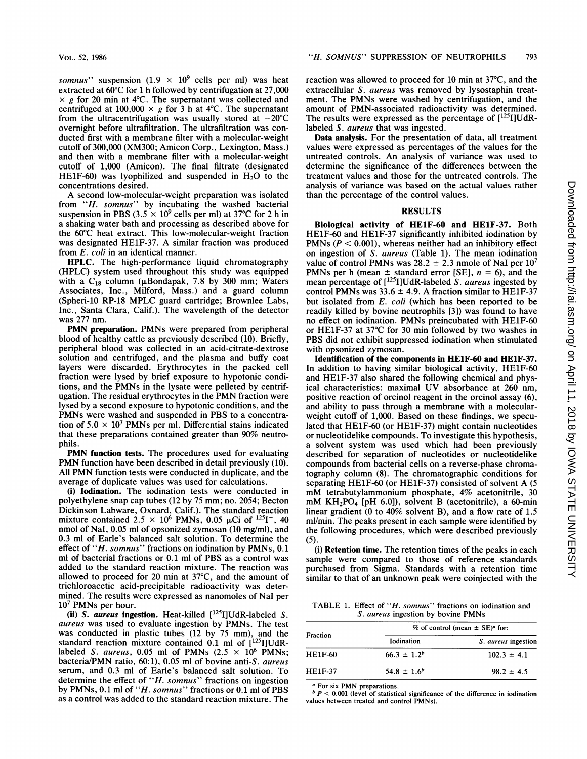somnus" suspension  $(1.9 \times 10^9 \text{ cells per ml})$  was heat extracted at 60°C for <sup>1</sup> h followed by centrifugation at 27,000  $\times g$  for 20 min at 4°C. The supernatant was collected and centrifuged at  $100,000 \times g$  for 3 h at 4°C. The supernatant from the ultracentrifugation was usually stored at  $-20^{\circ}$ C overnight before ultrafiltration. The ultrafiltration was conducted first with a membrane filter with a molecular-weight cutoff of 300,000 (XM300; Amicon Corp., Lexington, Mass.) and then with a membrane filter with a molecular-weight cutoff of 1,000 (Amicon). The final filtrate (designated HE1F-60) was lyophilized and suspended in  $H<sub>2</sub>O$  to the concentrations desired.

A second low-molecular-weight preparation was isolated from "H. somnus" by incubating the washed bacterial suspension in PBS (3.5  $\times$  10<sup>9</sup> cells per ml) at 37°C for 2 h in a shaking water bath and processing as described above for the 60°C heat extract. This low-molecular-weight fraction was designated HE1F-37. A similar fraction was produced from E. coli in an identical manner.

HPLC. The high-performance liquid chromatography (HPLC) system used throughout this study was equipped with a C<sub>18</sub> column ( $\mu$ Bondapak, 7.8 by 300 mm; Waters Associates, Inc., Milford, Mass.) and a guard column (Spheri-10 RP-18 MPLC guard cartridge; Brownlee Labs, Inc., Santa Clara, Calif.). The wavelength of the detector was 277 nm.

PMN preparation. PMNs were prepared from peripheral blood of healthy cattle as previously described (10). Briefly, peripheral blood was collected in an acid-citrate-dextrose solution and centrifuged, and the plasma and buffy coat layers were discarded. Erythrocytes in the packed cell fraction were lysed by brief exposure to hypotonic conditions, and the PMNs in the lysate were pelleted by centrifugation. The residual erythrocytes in the PMN fraction were lysed by a second exposure to hypotonic conditions, and the PMNs were washed and suspended in PBS to a concentration of  $5.0 \times 10^7$  PMNs per ml. Differential stains indicated that these preparations contained greater than 90% neutrophils.

PMN function tests. The procedures used for evaluating PMN function have been described in detail previously (10). All PMN function tests were conducted in duplicate, and the average of duplicate values was used for calculations.

(i) Iodination. The iodination tests were conducted in polyethylene snap cap tubes (12 by 75 mm; no. 2054; Becton Dickinson Labware, Oxnard, Calif.). The standard reaction mixture contained  $2.5 \times 10^6$  PMNs, 0.05 µCi of <sup>125</sup>I<sup>-</sup>, 40 nmol of Nal, 0.05 ml of opsonized zymosan (10 mg/ml), and 0.3 ml of Earle's balanced salt solution. To determine the effect of "H. somnus" fractions on iodination by PMNs, 0.1 ml of bacterial fractions or 0.1 ml of PBS as a control was added to the standard reaction mixture. The reaction was allowed to proceed for 20 min at 37°C, and the amount of trichloroacetic acid-precipitable radioactivity was determined. The results were expressed as nanomoles of Nal per  $10<sup>7</sup>$  PMNs per hour.

(ii) S. aureus ingestion. Heat-killed  $[^{125}I]UdR$ -labeled S. aureus was used to evaluate ingestion by PMNs. The test was conducted in plastic tubes (12 by 75 mm), and the standard reaction mixture contained 0.1 ml of [125l]UdRlabeled S. aureus, 0.05 ml of PMNs  $(2.5 \times 10^6 \text{ PMNs})$ ; bacteria/PMN ratio, 60:1), 0.05 ml of bovine anti-S. aureus serum, and 0.3 ml of Earle's balanced salt solution. To determine the effect of " $H.$  somnus" fractions on ingestion by PMNs, 0.1 ml of "H. somnus" fractions or 0.1 ml of PBS as a control was added to the standard reaction mixture. The

reaction was allowed to proceed for 10 min at 37°C, and the extracellular S. aureus was removed by lysostaphin treatment. The PMNs were washed by centrifugation, and the amount of PMN-associated radioactivity was determined. The results were expressed as the percentage of  $[^{125}I]UdR$ labeled S. aureus that was ingested.

Data analysis. For the presentation of data, all treatment values were expressed as percentages of the values for the untreated controls. An analysis of variance was used to determine the significance of the differences between the treatment values and those for the untreated controls. The analysis of variance was based on the actual values rather than the percentage of the control values.

## RESULTS

Biological activity of HElF-60 and HE1F-37. Both HE1F-60 and HE1F-37 significantly inhibited iodination by PMNs ( $P < 0.001$ ), whereas neither had an inhibitory effect on ingestion of S. aureus (Table 1). The mean iodination value of control PMNs was  $28.2 \pm 2.3$  nmole of NaI per  $10^7$ PMNs per h (mean  $\pm$  standard error [SE],  $n = 6$ ), and the mean percentage of  $[^{125}I]UdR$ -labeled S. aureus ingested by control PMNs was  $33.6 \pm 4.9$ . A fraction similar to HE1F-37 but isolated from E. coli (which has been reported to be readily killed by bovine neutrophils [3]) was found to have no effect on iodination. PMNs preincubated with HE1F-60 or HE1F-37 at 37°C for 30 min followed by two washes in PBS did not exhibit suppressed iodination when stimulated with opsonized zymosan.

Identification of the components in HE1F-60 and HE1F-37. In addition to having similar biological activity, HE1F-60 and HE1F-37 also shared the following chemical and physical characteristics: maximal UV absorbance at <sup>260</sup> nm, positive reaction of orcinol reagent in the orcinol assay (6), and ability to pass through a membrane with a molecularweight cutoff of 1,000. Based on these findings, we speculated that HEIF-60 (or HE1F-37) might contain nucleotides or nucleotidelike compounds. To investigate this hypothesis, a solvent system was used which had been previously described for separation of nucleotides or nucleotidelike compounds from bacterial cells on a reverse-phase chromatography column (8). The chromatographic conditions for separating HE1F-60 (or HE1F-37) consisted of solvent A (5 mM tetrabutylammonium phosphate, 4% acetonitrile, <sup>30</sup> mM  $KH<sub>2</sub>PO<sub>4</sub>$  [pH 6.0]), solvent B (acetonitrile), a 60-min linear gradient (0 to 40% solvent B), and a flow rate of 1.5 ml/min. The peaks present in each sample were identified by the following procedures, which were described previously (5).

(i) Retention time. The retention times of the peaks in each sample were compared to those of reference standards purchased from Sigma. Standards with a retention time similar to that of an unknown peak were coinjected with the

TABLE 1. Effect of "*H. somnus*" fractions on iodination and S. aureus ingestion by bovine PMNs

| Fraction       | % of control (mean $\pm$ SE) <sup>a</sup> for: |                     |
|----------------|------------------------------------------------|---------------------|
|                | Iodination                                     | S. aureus ingestion |
| <b>HE1F-60</b> | $66.3 \pm 1.2^b$                               | $102.3 \pm 4.1$     |
| <b>HE1F-37</b> | $54.8 \pm 1.6^b$                               | $98.2 \pm 4.5$      |

<sup>a</sup> For six PMN preparations.

 $b$   $P$  < 0.001 (level of statistical significance of the difference in iodination values between treated and control PMNs).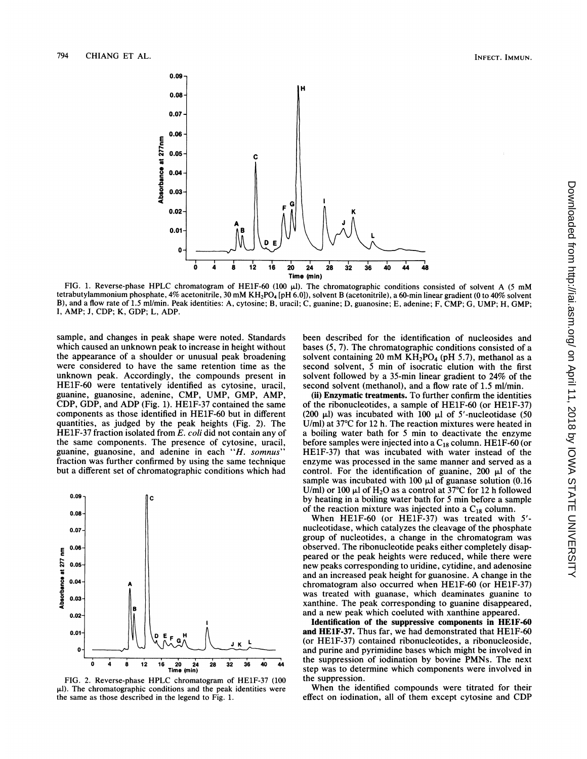

FIG. 1. Reverse-phase HPLC chromatogram of HE1F-60 (100  $\mu$ ). The chromatographic conditions consisted of solvent A (5 mM tetrabutylammonium phosphate, 4% acetonitrile, 30 mM KH<sub>2</sub>PO<sub>4</sub> [pH 6.0]), solvent B (acetonitrile), a 60-min linear gradient (0 to 40% solvent B), and a flow rate of 1.5 ml/min. Peak identities: A, cytosine; B, uracil; C, guanine; D, guanosine; E, adenine; F, CMP; G, UMP; H, GMP; I, AMP; J, CDP; K, GDP; L, ADP.

sample, and changes in peak shape were noted. Standards which caused an unknown peak to increase in height without the appearance of a shoulder or unusual peak broadening were considered to have the same retention time as the unknown peak. Accordingly, the compounds present in HE1F-60 were tentatively identified as cytosine, uracil, guanine, guanosine, adenine, CMP, UMP. CDP, GDP, and ADP (Fig. 1). HE1F-37 contained the same components as those identified in HE1F-60 quantities, as judged by the peak heights (Fig. 2). The HE1F-37 fraction isolated from  $E$ . coli did not contain any of the same components. The presence of cytosine, uracil, guanine, guanosine, and adenine in each "H. somnus" fraction was further confirmed by using the <sup>s</sup> but a different set of chromatographic conditions which had



FIG. 2. Reverse-phase HPLC chromatogram of HE1F-37 (100 the suppression.  $\mu$ l). The chromatographic conditions and the peak identities were the same as those described in the legend to Fig.

been described for the identification of nucleosides and bases  $(5, 7)$ . The chromatographic conditions consisted of a solvent containing 20 mM  $KH_2PO_4$  (pH 5.7), methanol as a second solvent, 5 min of isocratic elution with the first solvent followed by a 35-min linear gradient to 24% of the second solvent (methanol), and a flow rate of 1.5 ml/min.

(ii) Enzymatic treatments. To further confirm the identities of the ribonucleotides, a sample of HE1F-60 (or HE1F-37) (200  $\mu$ l) was incubated with 100  $\mu$ l of 5'-nucleotidase (50 U/ml) at  $37^{\circ}$ C for 12 h. The reaction mixtures were heated in a boiling water bath for 5 min to deactivate the enzyme before samples were injected into a  $C_{18}$  column. HE1F-60 (or HE1F-37) that was incubated with water instead of the enzyme was processed in the same manner and served as a control. For the identification of guanine, 200  $\mu$ l of the sample was incubated with 100  $\mu$ l of guanase solution (0.16) U/ml) or 100  $\mu$ l of H<sub>2</sub>O as a control at 37°C for 12 h followed by heating in a boiling water bath for 5 min before a sample of the reaction mixture was injected into a  $C_{18}$  column.

When HElF-60 (or HE1F-37) was treated with <sup>5</sup>' nucleotidase, which catalyzes the cleavage of the phosphate group of nucleotides, a change in the chromatogram was observed. The ribonucleotide peaks either completely disappeared or the peak heights were reduced, while there were new peaks corresponding to uridine, cytidine, and adenosine and an increased peak height for guanosine. A change in the chromatogram also occurred when HElF-60 (or HE1F-37) was treated with guanase, which deaminates guanine to xanthine. The peak corresponding to guanine disappeared, and a new peak which coeluted with xanthine appeared.

Identification of the suppressive components in HElF-60 and HElF-37. Thus far, we had demonstrated that HElF-60  $($ or HE1F-37 $)$  contained ribonucleotides, a ribonucleoside, and purine and pyrimidine bases which might be involved in the suppression of iodination by bovine PMNs. The next  $\frac{1}{2}$  36 40 44 the suppression of iodination by bovine PMNs. The next<br>step was to determine which components were involved in

> When the identified compounds were titrated for their effect on iodination, all of them except cytosine and CDP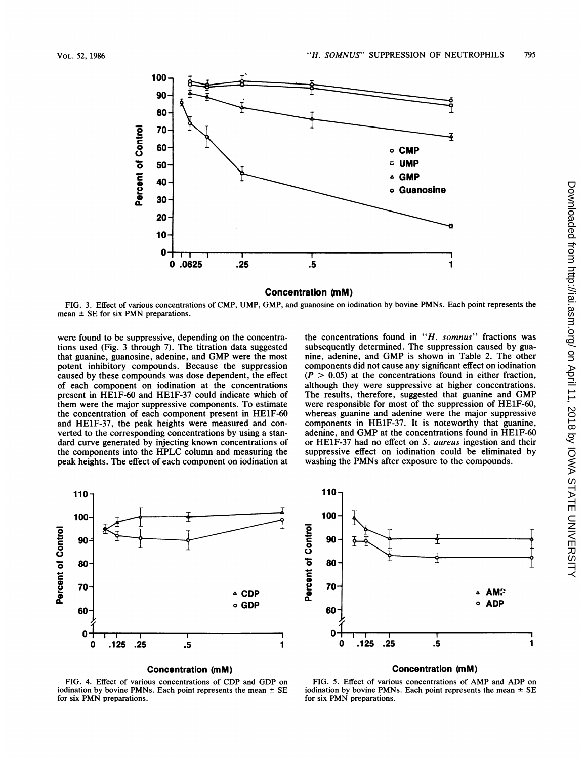

## Concentration (mM)

FIG. 3. Effect of various concentrations of CMP, UMP, GMP, and guanosine on iodination by bovine PMNs. Each point represents the mean  $\pm$  SE for six PMN preparations.

were found to be suppressive, depending on the concentrations used (Fig. 3 through 7). The titration data suggested that guanine, guanosine, adenine, and GMP were the most potent inhibitory compounds. Because the suppression caused by these compounds was dose dependent, the effect of each component on iodination at the concentrations present in HE1F-60 and HE1F-37 could indicate which of them were the major suppressive components. To estimate the concentration of each component present in HE1F-60 and HE1F-37, the peak heights were measured and converted to the corresponding concentrations by using a standard curve generated by injecting known concentrations of the components into the HPLC column and measuring the peak heights. The effect of each component on iodination at

the concentrations found in " $H$ . somnus" fractions was subsequently determined. The suppression caused by guanine, adenine, and GMP is shown in Table 2. The other components did not cause any significant effect on iodination  $(P > 0.05)$  at the concentrations found in either fraction, although they were suppressive at higher concentrations. The results, therefore, suggested that guanine and GMP were responsible for most of the suppression of HElF-60, whereas guanine and adenine were the major suppressive components in HE1F-37. It is noteworthy that guanine, adenine, and GMP at the concentrations found in HE1F-60 or HE1F-37 had no effect on S. aureus ingestion and their suppressive effect on iodination could be eliminated by washing the PMNs after exposure to the compounds.



## Concentration (mM)

FIG. 4. Effect of various concentrations of CDP and GDP on iodination by bovine PMNs. Each point represents the mean  $\pm$  SE for six PMN preparations.



#### Concentration (mM)

FIG. 5. Effect of various concentrations of AMP and ADP on iodination by bovine PMNs. Each point represents the mean  $\pm$  SE for six PMN preparations.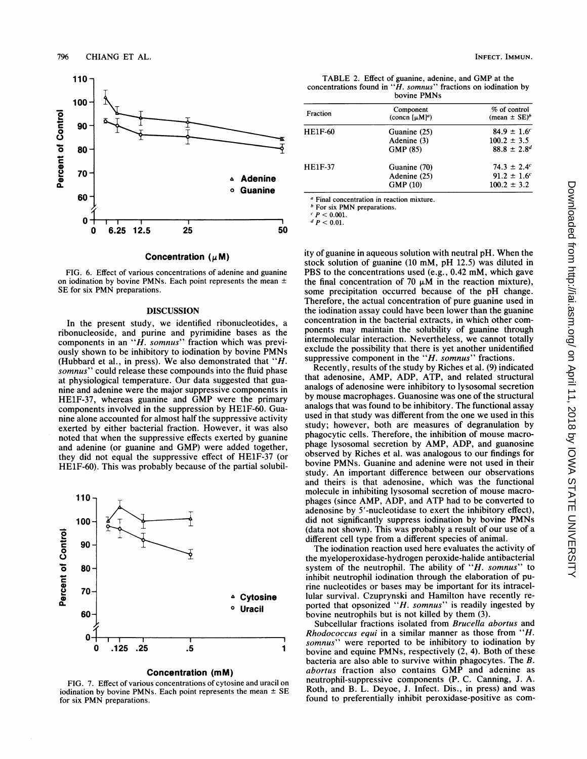

Concentration  $(\mu M)$ 

FIG. 6. Effect of various concentrations of adenine and guanine on iodination by bovine PMNs. Each point represents the mean  $\pm$ SE for six PMN preparations.

### DISCUSSION

In the present study, we identified ribonucleotides, a ribonucleoside, and purine and pyrimidine bases as the components in an " $\overline{H}$ . somnus" fraction which was previously shown to be inhibitory to iodination by bovine PMNs (Hubbard et al., in press). We also demonstrated that "H. somnus" could release these compounds into the fluid phase at physiological temperature. Our data suggested that guanine and adenine were the major suppressive components in HE1F-37, whereas guanine and GMP were the primary components involved in the suppression by HElF-60. Guanine alone accounted for almost half the suppressive activity exerted by either bacterial fraction. However, it was also noted that when the suppressive effects exerted by guanine and adenine (or guanine and GMP) were added together, they did not equal the suppressive effect of HE1F-37 (or HElF-60). This was probably because of the partial solubil-



#### Concentration (mM)

FIG. 7. Effect of various concentrations of cytosine and uracil on iodination by bovine PMNs. Each point represents the mean  $\pm$  SE for six PMN preparations.

TABLE 2. Effect of guanine, adenine, and GMP at the concentrations found in " $\hat{H}$ . somnus" fractions on iodination by bovine PMNs

| Fraction       | Component<br>(concn $[\mu M]^a$ )        | % of control<br>(mean $\pm$ SE) <sup>b</sup>                       |
|----------------|------------------------------------------|--------------------------------------------------------------------|
| <b>HE1F-60</b> | Guanine (25)<br>Adenine (3)<br>GMP (85)  | $84.9 \pm 1.6$ <sup>c</sup><br>$100.2 \pm 3.5$<br>$88.8 \pm 2.8^d$ |
| HE1F-37        | Guanine (70)<br>Adenine (25)<br>GMP (10) | $74.3 \pm 2.4^c$<br>$91.2 \pm 1.6$ <sup>c</sup><br>$100.2 \pm 3.2$ |

<sup>a</sup> Final concentration in reaction mixture.

**b** For six PMN preparations.

 $c \, P < 0.001$ .

 $d P < 0.01$ .

ity of guanine in aqueous solution with neutral pH. When the stock solution of guanine (10 mM, pH 12.5) was diluted in PBS to the concentrations used (e.g., 0.42 mM, which gave the final concentration of 70  $\mu$ M in the reaction mixture), some precipitation occurred because of the pH change. Therefore, the actual concentration of pure guanine used in the iodination assay could have been lower than the guanine concentration in the bacterial extracts, in which other components may maintain the solubility of guanine through intermolecular interaction. Nevertheless, we cannot totally exclude the possibility that there is yet another unidentified suppressive component in the "H. somnus" fractions.

Recently, results of the study by Riches et al. (9) indicated that adenosine, AMP, ADP, ATP, and related structural analogs of adenosine were inhibitory to lysosomal secretion by mouse macrophages. Guanosine was one of the structural analogs that was found to be inhibitory. The functional assay used in that study was different from the one we used in this study; however, both are measures of degranulation by phagocytic cells. Therefore, the inhibition of mouse macrophage lysosomal secretion by AMP, ADP, and guanosine observed by Riches et al. was analogous to our findings for bovine PMNs. Guanine and adenine were not used in their study. An important difference between our observations and theirs is that adenosine, which was the functional molecule in inhibiting lysosomal secretion of mouse macrophages (since AMP, ADP, and ATP had to be converted to adenosine by 5'-nucleotidase to exert the inhibitory effect), did not significantly suppress iodination by bovine PMNs (data not shown). This was probably a result of our use of a different cell type from a different species of animal.

The iodination reaction used here evaluates the activity of the myeloperoxidase-hydrogen peroxide-halide antibacterial system of the neutrophil. The ability of " $H$ . somnus" to inhibit neutrophil iodination through the elaboration of purine nucleotides or bases may be important for its intracellular survival. Czuprynski and Hamilton have recently reported that opsonized "H. somnus" is readily ingested by bovine neutrophils but is not killed by them (3).

Subcellular fractions isolated from Brucella abortus and Rhodococcus equi in a similar manner as those from "H. somnus" were reported to be inhibitory to iodination by bovine and equine PMNs, respectively (2, 4). Both of these bacteria are also able to survive within phagocytes. The B. abortus fraction also contains GMP and adenine as neutrophil-suppressive components (P. C. Canning, J. A. Roth, and B. L. Deyoe, J. Infect. Dis., in press) and was found to preferentially inhibit peroxidase-positive as com